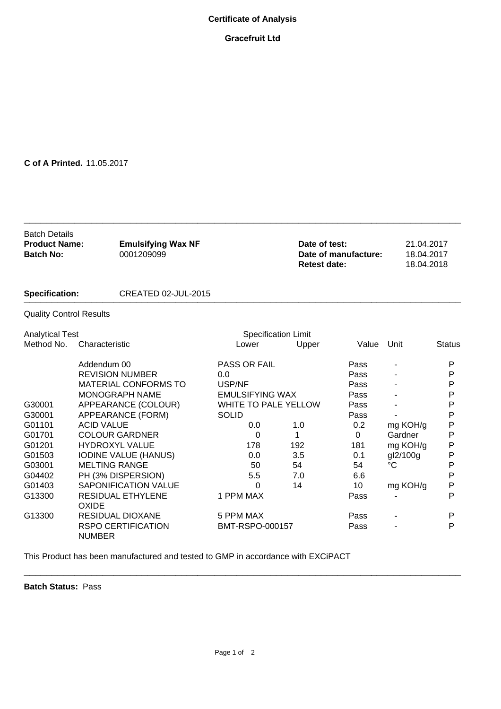## **Certificate of Analysis**

## **Gracefruit Ltd**

## **C of A Printed.** 11.05.2017

| <b>Batch Details</b><br><b>Product Name:</b><br><b>Batch No:</b><br><b>Specification:</b> |                       | <b>Emulsifying Wax NF</b><br>0001209099 |                            |     | Date of test:<br><b>Retest date:</b> | Date of manufacture: | 21.04.2017<br>18.04.2017<br>18.04.2018 |               |
|-------------------------------------------------------------------------------------------|-----------------------|-----------------------------------------|----------------------------|-----|--------------------------------------|----------------------|----------------------------------------|---------------|
|                                                                                           |                       | CREATED 02-JUL-2015                     |                            |     |                                      |                      |                                        |               |
| <b>Quality Control Results</b>                                                            |                       |                                         |                            |     |                                      |                      |                                        |               |
| <b>Analytical Test</b>                                                                    |                       |                                         | <b>Specification Limit</b> |     |                                      |                      |                                        |               |
| Method No.                                                                                | Characteristic        |                                         | Lower                      |     | Upper                                | Value                | Unit                                   | <b>Status</b> |
|                                                                                           | Addendum 00           |                                         | <b>PASS OR FAIL</b>        |     |                                      | Pass                 |                                        | P             |
|                                                                                           |                       | <b>REVISION NUMBER</b>                  | 0.0                        |     |                                      | Pass                 |                                        | P             |
|                                                                                           |                       | <b>MATERIAL CONFORMS TO</b>             | USP/NF                     |     |                                      | Pass                 |                                        | Ρ             |
|                                                                                           | <b>MONOGRAPH NAME</b> |                                         | <b>EMULSIFYING WAX</b>     |     |                                      | Pass                 |                                        | Ρ             |
| G30001                                                                                    | APPEARANCE (COLOUR)   |                                         | WHITE TO PALE YELLOW       |     |                                      | Pass                 |                                        | P             |
| G30001                                                                                    |                       | APPEARANCE (FORM)                       | <b>SOLID</b>               |     |                                      | Pass                 |                                        | Ρ             |
| G01101                                                                                    | <b>ACID VALUE</b>     |                                         | 0.0                        |     | 1.0                                  | 0.2                  | mg KOH/g                               | P             |
| G01701                                                                                    |                       | <b>COLOUR GARDNER</b>                   | 0                          | 1   |                                      | $\mathbf 0$          | Gardner                                | P             |
| G01201                                                                                    | <b>HYDROXYL VALUE</b> |                                         | 178                        | 192 |                                      | 181                  | mg KOH/g                               | P             |
| G01503                                                                                    |                       | <b>IODINE VALUE (HANUS)</b>             | 0.0                        | 3.5 |                                      | 0.1                  | gl2/100g                               | P             |
| G03001                                                                                    | <b>MELTING RANGE</b>  |                                         | 50                         | 54  |                                      | 54                   | $\rm ^{\circ}C$                        | P             |
| G04402                                                                                    |                       | PH (3% DISPERSION)                      | 5.5                        |     | 7.0                                  | 6.6                  |                                        | P             |
| G01403                                                                                    |                       | <b>SAPONIFICATION VALUE</b>             | 0                          | 14  |                                      | 10                   | mg KOH/g                               | P             |
| G13300                                                                                    | <b>OXIDE</b>          | <b>RESIDUAL ETHYLENE</b>                | 1 PPM MAX                  |     |                                      | Pass                 |                                        | P             |
| G13300                                                                                    |                       | <b>RESIDUAL DIOXANE</b>                 | 5 PPM MAX                  |     |                                      | Pass                 |                                        | P             |
|                                                                                           | <b>NUMBER</b>         | <b>RSPO CERTIFICATION</b>               | BMT-RSPO-000157            |     |                                      | Pass                 |                                        | P             |

**\_\_\_\_\_\_\_\_\_\_\_\_\_\_\_\_\_\_\_\_\_\_\_\_\_\_\_\_\_\_\_\_\_\_\_\_\_\_\_\_\_\_\_\_\_\_\_\_\_\_\_\_\_\_\_\_\_\_\_\_\_\_\_\_\_\_\_\_\_\_\_\_\_\_\_\_\_\_**

This Product has been manufactured and tested to GMP in accordance with EXCiPACT

**Batch Status:** Pass

**\_\_\_\_\_\_\_\_\_\_\_\_\_\_\_\_\_\_\_\_\_\_\_\_\_\_\_\_\_\_\_\_\_\_\_\_\_\_\_\_\_\_\_\_\_\_\_\_\_\_\_\_\_\_\_\_\_\_\_\_\_\_\_\_\_\_\_\_\_\_\_\_\_\_\_\_\_\_**